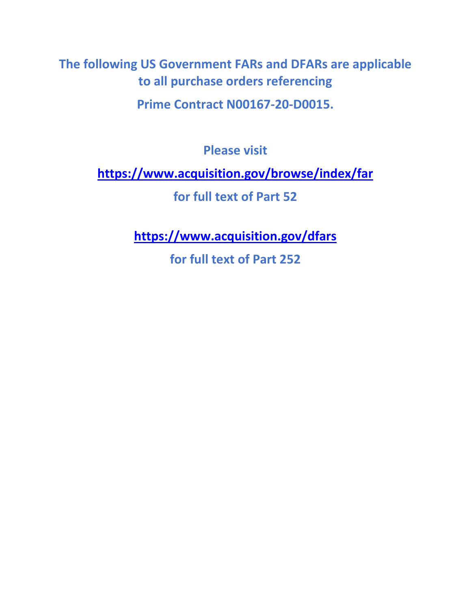**The following US Government FARs and DFARs are applicable to all purchase orders referencing**

**Prime Contract N00167-20-D0015.**

**Please visit**

**<https://www.acquisition.gov/browse/index/far>**

**for full text of Part 52**

**<https://www.acquisition.gov/dfars>**

**for full text of Part 252**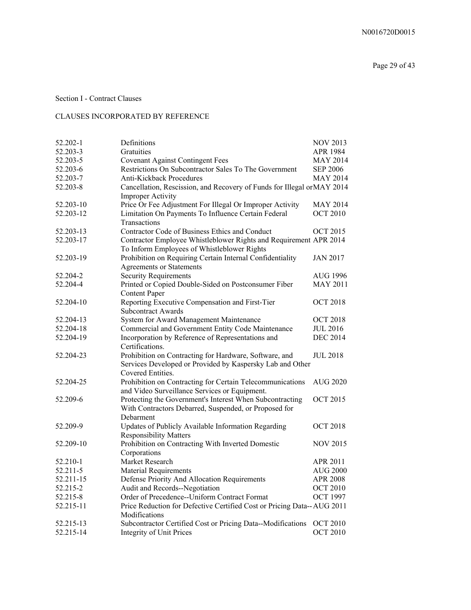# Section I - Contract Clauses

# CLAUSES INCORPORATED BY REFERENCE

| 52.202-1  | Definitions                                                            | <b>NOV 2013</b> |
|-----------|------------------------------------------------------------------------|-----------------|
| 52.203-3  | Gratuities                                                             | APR 1984        |
| 52.203-5  | <b>Covenant Against Contingent Fees</b>                                | <b>MAY 2014</b> |
| 52.203-6  | Restrictions On Subcontractor Sales To The Government                  | <b>SEP 2006</b> |
| 52.203-7  | Anti-Kickback Procedures                                               | <b>MAY 2014</b> |
| 52.203-8  | Cancellation, Rescission, and Recovery of Funds for Illegal orMAY 2014 |                 |
|           | <b>Improper Activity</b>                                               |                 |
| 52.203-10 | Price Or Fee Adjustment For Illegal Or Improper Activity               | MAY 2014        |
| 52.203-12 | Limitation On Payments To Influence Certain Federal                    | <b>OCT 2010</b> |
|           | Transactions                                                           |                 |
| 52.203-13 | Contractor Code of Business Ethics and Conduct                         | <b>OCT 2015</b> |
| 52.203-17 | Contractor Employee Whistleblower Rights and Requirement APR 2014      |                 |
|           | To Inform Employees of Whistleblower Rights                            |                 |
| 52.203-19 | Prohibition on Requiring Certain Internal Confidentiality              | <b>JAN 2017</b> |
|           | <b>Agreements or Statements</b>                                        |                 |
| 52.204-2  | <b>Security Requirements</b>                                           | AUG 1996        |
| 52.204-4  | Printed or Copied Double-Sided on Postconsumer Fiber                   | <b>MAY 2011</b> |
|           | <b>Content Paper</b>                                                   |                 |
| 52.204-10 | Reporting Executive Compensation and First-Tier                        | <b>OCT 2018</b> |
|           | <b>Subcontract Awards</b>                                              |                 |
| 52.204-13 | System for Award Management Maintenance                                | <b>OCT 2018</b> |
| 52.204-18 | Commercial and Government Entity Code Maintenance                      | <b>JUL 2016</b> |
| 52.204-19 | Incorporation by Reference of Representations and<br>Certifications.   | <b>DEC 2014</b> |
| 52.204-23 | Prohibition on Contracting for Hardware, Software, and                 | <b>JUL 2018</b> |
|           | Services Developed or Provided by Kaspersky Lab and Other              |                 |
|           | Covered Entities.                                                      |                 |
| 52.204-25 | Prohibition on Contracting for Certain Telecommunications              | <b>AUG 2020</b> |
|           | and Video Surveillance Services or Equipment.                          |                 |
| 52.209-6  | Protecting the Government's Interest When Subcontracting               | <b>OCT 2015</b> |
|           | With Contractors Debarred, Suspended, or Proposed for                  |                 |
|           | Debarment                                                              |                 |
| 52.209-9  | Updates of Publicly Available Information Regarding                    | <b>OCT 2018</b> |
|           | <b>Responsibility Matters</b>                                          |                 |
| 52.209-10 | Prohibition on Contracting With Inverted Domestic                      | NOV 2015        |
|           | Corporations                                                           |                 |
| 52.210-1  | Market Research                                                        | APR 2011        |
| 52.211-5  | <b>Material Requirements</b>                                           | <b>AUG 2000</b> |
| 52.211-15 | Defense Priority And Allocation Requirements                           | <b>APR 2008</b> |
| 52.215-2  | Audit and Records--Negotiation                                         | <b>OCT 2010</b> |
| 52.215-8  | Order of Precedence--Uniform Contract Format                           | <b>OCT 1997</b> |
| 52.215-11 | Price Reduction for Defective Certified Cost or Pricing Data--AUG 2011 |                 |
|           | Modifications                                                          |                 |
| 52.215-13 | Subcontractor Certified Cost or Pricing Data--Modifications            | OCT 2010        |
| 52.215-14 | Integrity of Unit Prices                                               | <b>OCT 2010</b> |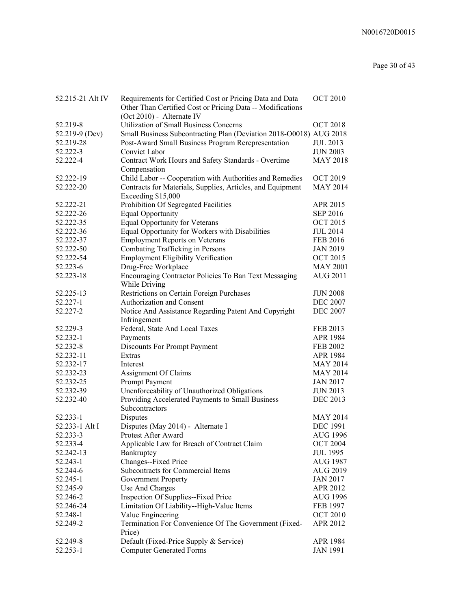# Page 30 of 43

| 52.215-21 Alt IV | Requirements for Certified Cost or Pricing Data and Data<br>Other Than Certified Cost or Pricing Data -- Modifications | <b>OCT 2010</b> |
|------------------|------------------------------------------------------------------------------------------------------------------------|-----------------|
|                  | (Oct 2010) - Alternate IV                                                                                              |                 |
| 52.219-8         | <b>Utilization of Small Business Concerns</b>                                                                          | <b>OCT 2018</b> |
| 52.219-9 (Dev)   | Small Business Subcontracting Plan (Deviation 2018-O0018) AUG 2018                                                     |                 |
| 52.219-28        | Post-Award Small Business Program Rerepresentation                                                                     | <b>JUL 2013</b> |
| 52.222-3         | Convict Labor                                                                                                          | <b>JUN 2003</b> |
| 52.222-4         | Contract Work Hours and Safety Standards - Overtime                                                                    | <b>MAY 2018</b> |
|                  | Compensation                                                                                                           |                 |
| 52.222-19        | Child Labor -- Cooperation with Authorities and Remedies                                                               | <b>OCT 2019</b> |
| 52.222-20        | Contracts for Materials, Supplies, Articles, and Equipment                                                             | <b>MAY 2014</b> |
|                  | Exceeding \$15,000                                                                                                     |                 |
| 52.222-21        | Prohibition Of Segregated Facilities                                                                                   | APR 2015        |
| 52.222-26        | <b>Equal Opportunity</b>                                                                                               | <b>SEP 2016</b> |
| 52.222-35        | <b>Equal Opportunity for Veterans</b>                                                                                  | <b>OCT 2015</b> |
| 52.222-36        | Equal Opportunity for Workers with Disabilities                                                                        | <b>JUL 2014</b> |
| 52.222-37        | <b>Employment Reports on Veterans</b>                                                                                  | <b>FEB 2016</b> |
| 52.222-50        | Combating Trafficking in Persons                                                                                       | <b>JAN 2019</b> |
| 52.222-54        | <b>Employment Eligibility Verification</b>                                                                             | <b>OCT 2015</b> |
| 52.223-6         | Drug-Free Workplace                                                                                                    | <b>MAY 2001</b> |
| 52.223-18        | Encouraging Contractor Policies To Ban Text Messaging                                                                  | <b>AUG 2011</b> |
|                  | While Driving                                                                                                          |                 |
| 52.225-13        | Restrictions on Certain Foreign Purchases                                                                              | <b>JUN 2008</b> |
| 52.227-1         | Authorization and Consent                                                                                              | <b>DEC 2007</b> |
| 52.227-2         | Notice And Assistance Regarding Patent And Copyright<br>Infringement                                                   | <b>DEC 2007</b> |
| 52.229-3         | Federal, State And Local Taxes                                                                                         | FEB 2013        |
| 52.232-1         | Payments                                                                                                               | APR 1984        |
| 52.232-8         | Discounts For Prompt Payment                                                                                           | <b>FEB 2002</b> |
| 52.232-11        | Extras                                                                                                                 | APR 1984        |
| 52.232-17        | Interest                                                                                                               | <b>MAY 2014</b> |
| 52.232-23        | Assignment Of Claims                                                                                                   | <b>MAY 2014</b> |
| 52.232-25        | Prompt Payment                                                                                                         | <b>JAN 2017</b> |
| 52.232-39        | Unenforceability of Unauthorized Obligations                                                                           | <b>JUN 2013</b> |
| 52.232-40        | Providing Accelerated Payments to Small Business                                                                       | <b>DEC 2013</b> |
|                  | Subcontractors                                                                                                         |                 |
| 52.233-1         | Disputes                                                                                                               | <b>MAY 2014</b> |
| 52.233-1 Alt I   | Disputes (May 2014) - Alternate I                                                                                      | <b>DEC</b> 1991 |
| 52.233-3         | Protest After Award                                                                                                    | <b>AUG 1996</b> |
| 52.233-4         | Applicable Law for Breach of Contract Claim                                                                            | <b>OCT 2004</b> |
| 52.242-13        | Bankruptcy                                                                                                             | <b>JUL 1995</b> |
| 52.243-1         | Changes--Fixed Price                                                                                                   | <b>AUG 1987</b> |
| 52.244-6         | Subcontracts for Commercial Items                                                                                      | AUG 2019        |
| 52.245-1         | <b>Government Property</b>                                                                                             | <b>JAN 2017</b> |
| 52.245-9         | Use And Charges                                                                                                        | APR 2012        |
| 52.246-2         | Inspection Of Supplies--Fixed Price                                                                                    | <b>AUG 1996</b> |
| 52.246-24        | Limitation Of Liability--High-Value Items                                                                              | FEB 1997        |
| 52.248-1         | Value Engineering                                                                                                      | <b>OCT 2010</b> |
| 52.249-2         | Termination For Convenience Of The Government (Fixed-                                                                  | APR 2012        |
|                  | Price)                                                                                                                 |                 |
| 52.249-8         | Default (Fixed-Price Supply & Service)                                                                                 | APR 1984        |
| 52.253-1         | <b>Computer Generated Forms</b>                                                                                        | <b>JAN 1991</b> |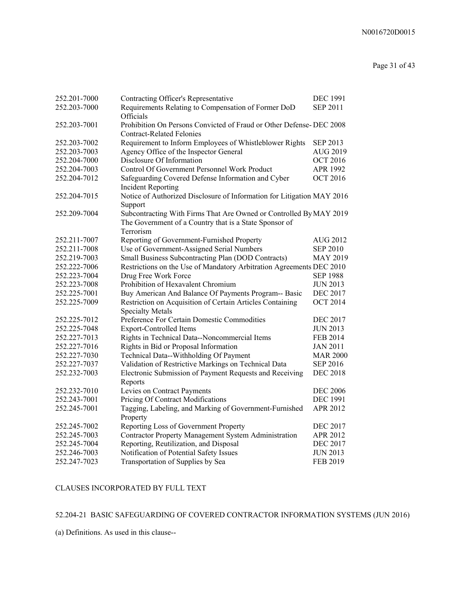# Page 31 of 43

| 252.201-7000 | Contracting Officer's Representative                                   | <b>DEC 1991</b> |
|--------------|------------------------------------------------------------------------|-----------------|
| 252.203-7000 | Requirements Relating to Compensation of Former DoD<br>Officials       | <b>SEP 2011</b> |
| 252.203-7001 | Prohibition On Persons Convicted of Fraud or Other Defense- DEC 2008   |                 |
|              | <b>Contract-Related Felonies</b>                                       |                 |
| 252.203-7002 | Requirement to Inform Employees of Whistleblower Rights                | <b>SEP 2013</b> |
| 252.203-7003 | Agency Office of the Inspector General                                 | <b>AUG 2019</b> |
| 252.204-7000 | Disclosure Of Information                                              | <b>OCT 2016</b> |
| 252.204-7003 | Control Of Government Personnel Work Product                           | APR 1992        |
| 252.204-7012 | Safeguarding Covered Defense Information and Cyber                     | <b>OCT 2016</b> |
|              | <b>Incident Reporting</b>                                              |                 |
| 252.204-7015 | Notice of Authorized Disclosure of Information for Litigation MAY 2016 |                 |
|              | Support                                                                |                 |
| 252.209-7004 | Subcontracting With Firms That Are Owned or Controlled By MAY 2019     |                 |
|              | The Government of a Country that is a State Sponsor of                 |                 |
|              | Terrorism                                                              |                 |
| 252.211-7007 | Reporting of Government-Furnished Property                             | <b>AUG 2012</b> |
| 252.211-7008 | Use of Government-Assigned Serial Numbers                              | <b>SEP 2010</b> |
| 252.219-7003 | Small Business Subcontracting Plan (DOD Contracts)                     | <b>MAY 2019</b> |
| 252.222-7006 | Restrictions on the Use of Mandatory Arbitration Agreements DEC 2010   |                 |
| 252.223-7004 | Drug Free Work Force                                                   | <b>SEP 1988</b> |
| 252.223-7008 | Prohibition of Hexavalent Chromium                                     | <b>JUN 2013</b> |
| 252.225-7001 | Buy American And Balance Of Payments Program-- Basic                   | <b>DEC 2017</b> |
| 252.225-7009 | Restriction on Acquisition of Certain Articles Containing              | <b>OCT 2014</b> |
|              | <b>Specialty Metals</b>                                                |                 |
| 252.225-7012 | Preference For Certain Domestic Commodities                            | <b>DEC 2017</b> |
| 252.225-7048 | <b>Export-Controlled Items</b>                                         | <b>JUN 2013</b> |
| 252.227-7013 | Rights in Technical Data--Noncommercial Items                          | <b>FEB 2014</b> |
| 252.227-7016 | Rights in Bid or Proposal Information                                  | <b>JAN 2011</b> |
| 252.227-7030 | Technical Data--Withholding Of Payment                                 | <b>MAR 2000</b> |
| 252.227-7037 | Validation of Restrictive Markings on Technical Data                   | <b>SEP 2016</b> |
| 252.232-7003 | Electronic Submission of Payment Requests and Receiving                | <b>DEC 2018</b> |
|              | Reports                                                                |                 |
| 252.232-7010 | Levies on Contract Payments                                            | <b>DEC 2006</b> |
| 252.243-7001 | Pricing Of Contract Modifications                                      | <b>DEC 1991</b> |
| 252.245-7001 | Tagging, Labeling, and Marking of Government-Furnished<br>Property     | APR 2012        |
| 252.245-7002 | Reporting Loss of Government Property                                  | <b>DEC 2017</b> |
| 252.245-7003 | Contractor Property Management System Administration                   | APR 2012        |
| 252.245-7004 | Reporting, Reutilization, and Disposal                                 | <b>DEC 2017</b> |
| 252.246-7003 | Notification of Potential Safety Issues                                | <b>JUN 2013</b> |
| 252.247-7023 | Transportation of Supplies by Sea                                      | FEB 2019        |

# CLAUSES INCORPORATED BY FULL TEXT

# 52.204-21 BASIC SAFEGUARDING OF COVERED CONTRACTOR INFORMATION SYSTEMS (JUN 2016)

(a) Definitions. As used in this clause--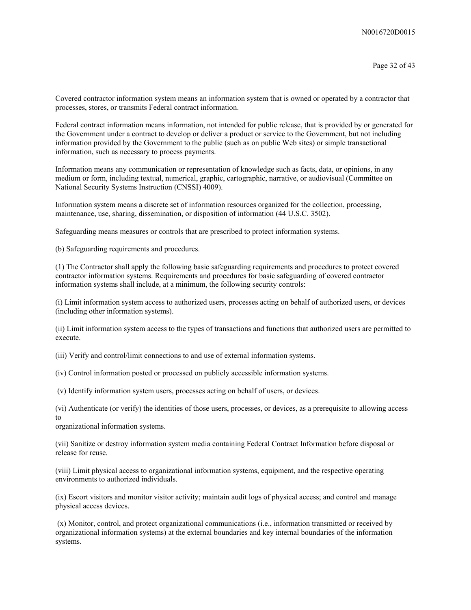Covered contractor information system means an information system that is owned or operated by a contractor that processes, stores, or transmits Federal contract information.

Federal contract information means information, not intended for public release, that is provided by or generated for the Government under a contract to develop or deliver a product or service to the Government, but not including information provided by the Government to the public (such as on public Web sites) or simple transactional information, such as necessary to process payments.

Information means any communication or representation of knowledge such as facts, data, or opinions, in any medium or form, including textual, numerical, graphic, cartographic, narrative, or audiovisual (Committee on National Security Systems Instruction (CNSSI) 4009).

Information system means a discrete set of information resources organized for the collection, processing, maintenance, use, sharing, dissemination, or disposition of information (44 U.S.C. 3502).

Safeguarding means measures or controls that are prescribed to protect information systems.

(b) Safeguarding requirements and procedures.

(1) The Contractor shall apply the following basic safeguarding requirements and procedures to protect covered contractor information systems. Requirements and procedures for basic safeguarding of covered contractor information systems shall include, at a minimum, the following security controls:

(i) Limit information system access to authorized users, processes acting on behalf of authorized users, or devices (including other information systems).

(ii) Limit information system access to the types of transactions and functions that authorized users are permitted to execute.

(iii) Verify and control/limit connections to and use of external information systems.

(iv) Control information posted or processed on publicly accessible information systems.

(v) Identify information system users, processes acting on behalf of users, or devices.

(vi) Authenticate (or verify) the identities of those users, processes, or devices, as a prerequisite to allowing access to

organizational information systems.

(vii) Sanitize or destroy information system media containing Federal Contract Information before disposal or release for reuse.

(viii) Limit physical access to organizational information systems, equipment, and the respective operating environments to authorized individuals.

(ix) Escort visitors and monitor visitor activity; maintain audit logs of physical access; and control and manage physical access devices.

 (x) Monitor, control, and protect organizational communications (i.e., information transmitted or received by organizational information systems) at the external boundaries and key internal boundaries of the information systems.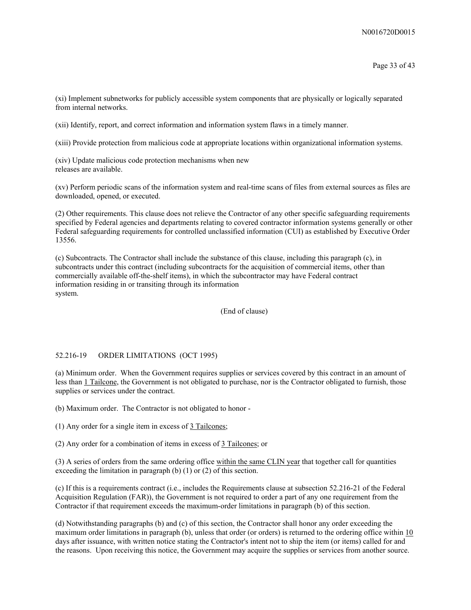(xi) Implement subnetworks for publicly accessible system components that are physically or logically separated from internal networks.

(xii) Identify, report, and correct information and information system flaws in a timely manner.

(xiii) Provide protection from malicious code at appropriate locations within organizational information systems.

(xiv) Update malicious code protection mechanisms when new releases are available.

(xv) Perform periodic scans of the information system and real-time scans of files from external sources as files are downloaded, opened, or executed.

(2) Other requirements. This clause does not relieve the Contractor of any other specific safeguarding requirements specified by Federal agencies and departments relating to covered contractor information systems generally or other Federal safeguarding requirements for controlled unclassified information (CUI) as established by Executive Order 13556.

(c) Subcontracts. The Contractor shall include the substance of this clause, including this paragraph (c), in subcontracts under this contract (including subcontracts for the acquisition of commercial items, other than commercially available off-the-shelf items), in which the subcontractor may have Federal contract information residing in or transiting through its information system.

(End of clause)

## 52.216-19 ORDER LIMITATIONS (OCT 1995)

(a) Minimum order. When the Government requires supplies or services covered by this contract in an amount of less than 1 Tailcone, the Government is not obligated to purchase, nor is the Contractor obligated to furnish, those supplies or services under the contract.

(b) Maximum order. The Contractor is not obligated to honor -

(1) Any order for a single item in excess of 3 Tailcones;

(2) Any order for a combination of items in excess of 3 Tailcones; or

(3) A series of orders from the same ordering office within the same CLIN year that together call for quantities exceeding the limitation in paragraph (b) (1) or (2) of this section.

(c) If this is a requirements contract (i.e., includes the Requirements clause at subsection 52.216-21 of the Federal Acquisition Regulation (FAR)), the Government is not required to order a part of any one requirement from the Contractor if that requirement exceeds the maximum-order limitations in paragraph (b) of this section.

(d) Notwithstanding paragraphs (b) and (c) of this section, the Contractor shall honor any order exceeding the maximum order limitations in paragraph (b), unless that order (or orders) is returned to the ordering office within 10 days after issuance, with written notice stating the Contractor's intent not to ship the item (or items) called for and the reasons. Upon receiving this notice, the Government may acquire the supplies or services from another source.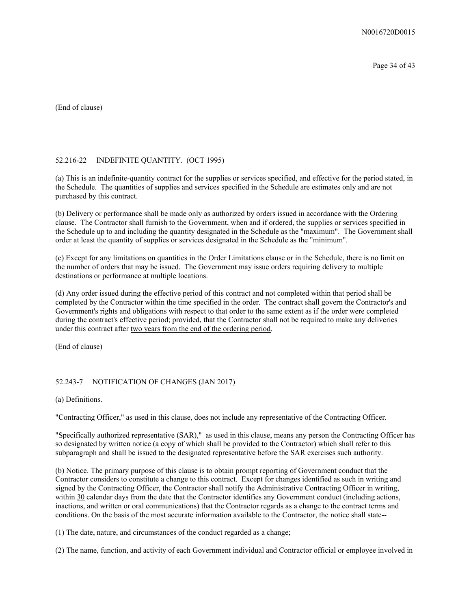Page 34 of 43

(End of clause)

## 52.216-22 INDEFINITE QUANTITY. (OCT 1995)

(a) This is an indefinite-quantity contract for the supplies or services specified, and effective for the period stated, in the Schedule. The quantities of supplies and services specified in the Schedule are estimates only and are not purchased by this contract.

(b) Delivery or performance shall be made only as authorized by orders issued in accordance with the Ordering clause. The Contractor shall furnish to the Government, when and if ordered, the supplies or services specified in the Schedule up to and including the quantity designated in the Schedule as the "maximum". The Government shall order at least the quantity of supplies or services designated in the Schedule as the "minimum".

(c) Except for any limitations on quantities in the Order Limitations clause or in the Schedule, there is no limit on the number of orders that may be issued. The Government may issue orders requiring delivery to multiple destinations or performance at multiple locations.

(d) Any order issued during the effective period of this contract and not completed within that period shall be completed by the Contractor within the time specified in the order. The contract shall govern the Contractor's and Government's rights and obligations with respect to that order to the same extent as if the order were completed during the contract's effective period; provided, that the Contractor shall not be required to make any deliveries under this contract after two years from the end of the ordering period.

(End of clause)

## 52.243-7 NOTIFICATION OF CHANGES (JAN 2017)

(a) Definitions.

"Contracting Officer," as used in this clause, does not include any representative of the Contracting Officer.

"Specifically authorized representative (SAR)," as used in this clause, means any person the Contracting Officer has so designated by written notice (a copy of which shall be provided to the Contractor) which shall refer to this subparagraph and shall be issued to the designated representative before the SAR exercises such authority.

(b) Notice. The primary purpose of this clause is to obtain prompt reporting of Government conduct that the Contractor considers to constitute a change to this contract. Except for changes identified as such in writing and signed by the Contracting Officer, the Contractor shall notify the Administrative Contracting Officer in writing, within 30 calendar days from the date that the Contractor identifies any Government conduct (including actions, inactions, and written or oral communications) that the Contractor regards as a change to the contract terms and conditions. On the basis of the most accurate information available to the Contractor, the notice shall state--

(1) The date, nature, and circumstances of the conduct regarded as a change;

(2) The name, function, and activity of each Government individual and Contractor official or employee involved in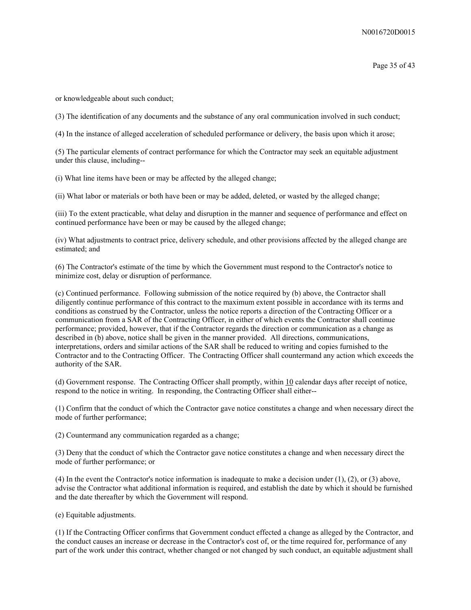or knowledgeable about such conduct;

(3) The identification of any documents and the substance of any oral communication involved in such conduct;

(4) In the instance of alleged acceleration of scheduled performance or delivery, the basis upon which it arose;

(5) The particular elements of contract performance for which the Contractor may seek an equitable adjustment under this clause, including--

(i) What line items have been or may be affected by the alleged change;

(ii) What labor or materials or both have been or may be added, deleted, or wasted by the alleged change;

(iii) To the extent practicable, what delay and disruption in the manner and sequence of performance and effect on continued performance have been or may be caused by the alleged change;

(iv) What adjustments to contract price, delivery schedule, and other provisions affected by the alleged change are estimated; and

(6) The Contractor's estimate of the time by which the Government must respond to the Contractor's notice to minimize cost, delay or disruption of performance.

(c) Continued performance. Following submission of the notice required by (b) above, the Contractor shall diligently continue performance of this contract to the maximum extent possible in accordance with its terms and conditions as construed by the Contractor, unless the notice reports a direction of the Contracting Officer or a communication from a SAR of the Contracting Officer, in either of which events the Contractor shall continue performance; provided, however, that if the Contractor regards the direction or communication as a change as described in (b) above, notice shall be given in the manner provided. All directions, communications, interpretations, orders and similar actions of the SAR shall be reduced to writing and copies furnished to the Contractor and to the Contracting Officer. The Contracting Officer shall countermand any action which exceeds the authority of the SAR.

(d) Government response. The Contracting Officer shall promptly, within 10 calendar days after receipt of notice, respond to the notice in writing. In responding, the Contracting Officer shall either--

(1) Confirm that the conduct of which the Contractor gave notice constitutes a change and when necessary direct the mode of further performance;

(2) Countermand any communication regarded as a change;

(3) Deny that the conduct of which the Contractor gave notice constitutes a change and when necessary direct the mode of further performance; or

(4) In the event the Contractor's notice information is inadequate to make a decision under (1), (2), or (3) above, advise the Contractor what additional information is required, and establish the date by which it should be furnished and the date thereafter by which the Government will respond.

(e) Equitable adjustments.

(1) If the Contracting Officer confirms that Government conduct effected a change as alleged by the Contractor, and the conduct causes an increase or decrease in the Contractor's cost of, or the time required for, performance of any part of the work under this contract, whether changed or not changed by such conduct, an equitable adjustment shall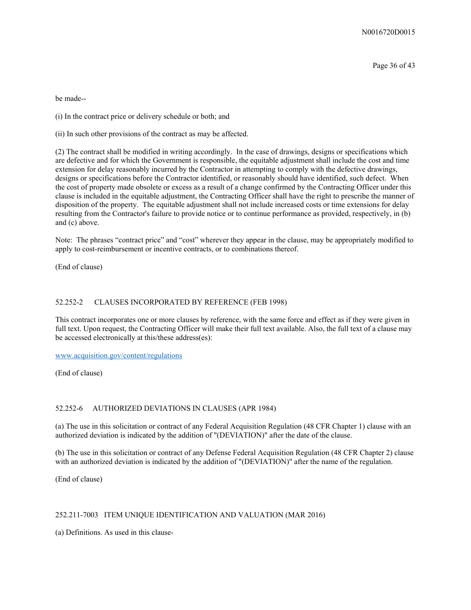Page 36 of 43

be made--

(i) In the contract price or delivery schedule or both; and

(ii) In such other provisions of the contract as may be affected.

(2) The contract shall be modified in writing accordingly. In the case of drawings, designs or specifications which are defective and for which the Government is responsible, the equitable adjustment shall include the cost and time extension for delay reasonably incurred by the Contractor in attempting to comply with the defective drawings, designs or specifications before the Contractor identified, or reasonably should have identified, such defect. When the cost of property made obsolete or excess as a result of a change confirmed by the Contracting Officer under this clause is included in the equitable adjustment, the Contracting Officer shall have the right to prescribe the manner of disposition of the property. The equitable adjustment shall not include increased costs or time extensions for delay resulting from the Contractor's failure to provide notice or to continue performance as provided, respectively, in (b) and (c) above.

Note: The phrases "contract price" and "cost" wherever they appear in the clause, may be appropriately modified to apply to cost-reimbursement or incentive contracts, or to combinations thereof.

(End of clause)

## 52.252-2 CLAUSES INCORPORATED BY REFERENCE (FEB 1998)

This contract incorporates one or more clauses by reference, with the same force and effect as if they were given in full text. Upon request, the Contracting Officer will make their full text available. Also, the full text of a clause may be accessed electronically at this/these address(es):

www.acquisition.gov/content/regulations

(End of clause)

## 52.252-6 AUTHORIZED DEVIATIONS IN CLAUSES (APR 1984)

(a) The use in this solicitation or contract of any Federal Acquisition Regulation (48 CFR Chapter 1) clause with an authorized deviation is indicated by the addition of "(DEVIATION)" after the date of the clause.

(b) The use in this solicitation or contract of any Defense Federal Acquisition Regulation (48 CFR Chapter 2) clause with an authorized deviation is indicated by the addition of "(DEVIATION)" after the name of the regulation.

(End of clause)

## 252.211-7003 ITEM UNIQUE IDENTIFICATION AND VALUATION (MAR 2016)

(a) Definitions. As used in this clause-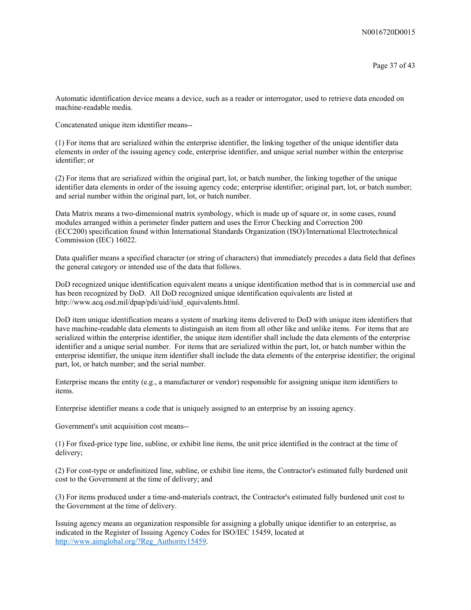Automatic identification device means a device, such as a reader or interrogator, used to retrieve data encoded on machine-readable media.

Concatenated unique item identifier means--

(1) For items that are serialized within the enterprise identifier, the linking together of the unique identifier data elements in order of the issuing agency code, enterprise identifier, and unique serial number within the enterprise identifier; or

(2) For items that are serialized within the original part, lot, or batch number, the linking together of the unique identifier data elements in order of the issuing agency code; enterprise identifier; original part, lot, or batch number; and serial number within the original part, lot, or batch number.

Data Matrix means a two-dimensional matrix symbology, which is made up of square or, in some cases, round modules arranged within a perimeter finder pattern and uses the Error Checking and Correction 200 (ECC200) specification found within International Standards Organization (ISO)/International Electrotechnical Commission (IEC) 16022.

Data qualifier means a specified character (or string of characters) that immediately precedes a data field that defines the general category or intended use of the data that follows.

DoD recognized unique identification equivalent means a unique identification method that is in commercial use and has been recognized by DoD. All DoD recognized unique identification equivalents are listed at http://www.acq.osd.mil/dpap/pdi/uid/iuid\_equivalents.html.

DoD item unique identification means a system of marking items delivered to DoD with unique item identifiers that have machine-readable data elements to distinguish an item from all other like and unlike items. For items that are serialized within the enterprise identifier, the unique item identifier shall include the data elements of the enterprise identifier and a unique serial number. For items that are serialized within the part, lot, or batch number within the enterprise identifier, the unique item identifier shall include the data elements of the enterprise identifier; the original part, lot, or batch number; and the serial number.

Enterprise means the entity (e.g., a manufacturer or vendor) responsible for assigning unique item identifiers to items.

Enterprise identifier means a code that is uniquely assigned to an enterprise by an issuing agency.

Government's unit acquisition cost means--

(1) For fixed-price type line, subline, or exhibit line items, the unit price identified in the contract at the time of delivery;

(2) For cost-type or undefinitized line, subline, or exhibit line items, the Contractor's estimated fully burdened unit cost to the Government at the time of delivery; and

(3) For items produced under a time-and-materials contract, the Contractor's estimated fully burdened unit cost to the Government at the time of delivery.

Issuing agency means an organization responsible for assigning a globally unique identifier to an enterprise, as indicated in the Register of Issuing Agency Codes for ISO/IEC 15459, located at http://www.aimglobal.org/?Reg\_Authority15459.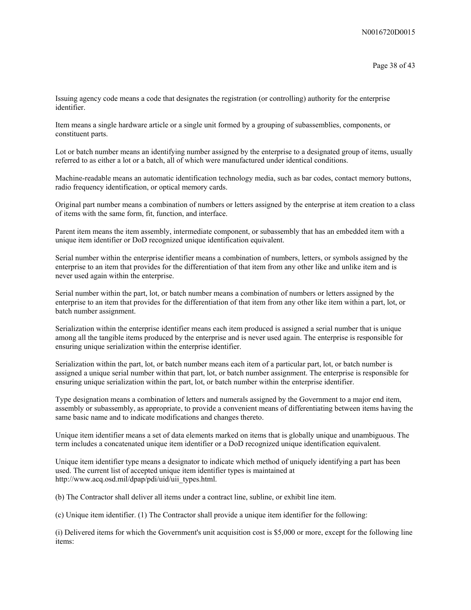Issuing agency code means a code that designates the registration (or controlling) authority for the enterprise identifier.

Item means a single hardware article or a single unit formed by a grouping of subassemblies, components, or constituent parts.

Lot or batch number means an identifying number assigned by the enterprise to a designated group of items, usually referred to as either a lot or a batch, all of which were manufactured under identical conditions.

Machine-readable means an automatic identification technology media, such as bar codes, contact memory buttons, radio frequency identification, or optical memory cards.

Original part number means a combination of numbers or letters assigned by the enterprise at item creation to a class of items with the same form, fit, function, and interface.

Parent item means the item assembly, intermediate component, or subassembly that has an embedded item with a unique item identifier or DoD recognized unique identification equivalent.

Serial number within the enterprise identifier means a combination of numbers, letters, or symbols assigned by the enterprise to an item that provides for the differentiation of that item from any other like and unlike item and is never used again within the enterprise.

Serial number within the part, lot, or batch number means a combination of numbers or letters assigned by the enterprise to an item that provides for the differentiation of that item from any other like item within a part, lot, or batch number assignment.

Serialization within the enterprise identifier means each item produced is assigned a serial number that is unique among all the tangible items produced by the enterprise and is never used again. The enterprise is responsible for ensuring unique serialization within the enterprise identifier.

Serialization within the part, lot, or batch number means each item of a particular part, lot, or batch number is assigned a unique serial number within that part, lot, or batch number assignment. The enterprise is responsible for ensuring unique serialization within the part, lot, or batch number within the enterprise identifier.

Type designation means a combination of letters and numerals assigned by the Government to a major end item, assembly or subassembly, as appropriate, to provide a convenient means of differentiating between items having the same basic name and to indicate modifications and changes thereto.

Unique item identifier means a set of data elements marked on items that is globally unique and unambiguous. The term includes a concatenated unique item identifier or a DoD recognized unique identification equivalent.

Unique item identifier type means a designator to indicate which method of uniquely identifying a part has been used. The current list of accepted unique item identifier types is maintained at http://www.acq.osd.mil/dpap/pdi/uid/uii\_types.html.

(b) The Contractor shall deliver all items under a contract line, subline, or exhibit line item.

(c) Unique item identifier. (1) The Contractor shall provide a unique item identifier for the following:

(i) Delivered items for which the Government's unit acquisition cost is \$5,000 or more, except for the following line items: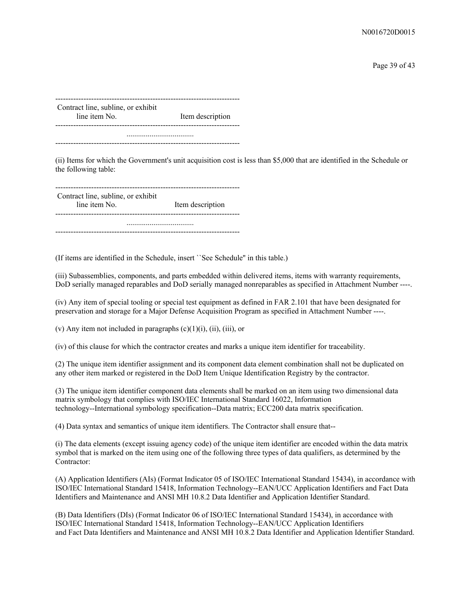## Page 39 of 43

------------------------------------------------------------------------ Contract line, subline, or exhibit line item No. Item description ------------------------------------------------------------------------ ................................... ------------------------------------------------------------------------

(ii) Items for which the Government's unit acquisition cost is less than \$5,000 that are identified in the Schedule or the following table:

------------------------------------------------------------------------ Contract line, subline, or exhibit line item No. Item description ------------------------------------------------------------------------ ................................... ------------------------------------------------------------------------

(If items are identified in the Schedule, insert ``See Schedule'' in this table.)

(iii) Subassemblies, components, and parts embedded within delivered items, items with warranty requirements, DoD serially managed reparables and DoD serially managed nonreparables as specified in Attachment Number ----.

(iv) Any item of special tooling or special test equipment as defined in FAR 2.101 that have been designated for preservation and storage for a Major Defense Acquisition Program as specified in Attachment Number ----.

(v) Any item not included in paragraphs  $(c)(1)(i)$ ,  $(ii)$ ,  $(iii)$ , or

(iv) of this clause for which the contractor creates and marks a unique item identifier for traceability.

(2) The unique item identifier assignment and its component data element combination shall not be duplicated on any other item marked or registered in the DoD Item Unique Identification Registry by the contractor.

(3) The unique item identifier component data elements shall be marked on an item using two dimensional data matrix symbology that complies with ISO/IEC International Standard 16022, Information technology--International symbology specification--Data matrix; ECC200 data matrix specification.

(4) Data syntax and semantics of unique item identifiers. The Contractor shall ensure that--

(i) The data elements (except issuing agency code) of the unique item identifier are encoded within the data matrix symbol that is marked on the item using one of the following three types of data qualifiers, as determined by the Contractor:

(A) Application Identifiers (AIs) (Format Indicator 05 of ISO/IEC International Standard 15434), in accordance with ISO/IEC International Standard 15418, Information Technology--EAN/UCC Application Identifiers and Fact Data Identifiers and Maintenance and ANSI MH 10.8.2 Data Identifier and Application Identifier Standard.

(B) Data Identifiers (DIs) (Format Indicator 06 of ISO/IEC International Standard 15434), in accordance with ISO/IEC International Standard 15418, Information Technology--EAN/UCC Application Identifiers and Fact Data Identifiers and Maintenance and ANSI MH 10.8.2 Data Identifier and Application Identifier Standard.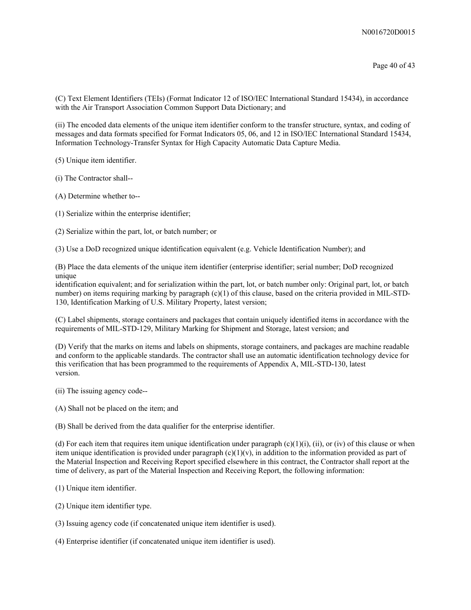Page 40 of 43

(C) Text Element Identifiers (TEIs) (Format Indicator 12 of ISO/IEC International Standard 15434), in accordance with the Air Transport Association Common Support Data Dictionary; and

(ii) The encoded data elements of the unique item identifier conform to the transfer structure, syntax, and coding of messages and data formats specified for Format Indicators 05, 06, and 12 in ISO/IEC International Standard 15434, Information Technology-Transfer Syntax for High Capacity Automatic Data Capture Media.

(5) Unique item identifier.

(i) The Contractor shall--

(A) Determine whether to--

(1) Serialize within the enterprise identifier;

(2) Serialize within the part, lot, or batch number; or

(3) Use a DoD recognized unique identification equivalent (e.g. Vehicle Identification Number); and

(B) Place the data elements of the unique item identifier (enterprise identifier; serial number; DoD recognized unique

identification equivalent; and for serialization within the part, lot, or batch number only: Original part, lot, or batch number) on items requiring marking by paragraph (c)(1) of this clause, based on the criteria provided in MIL-STD-130, Identification Marking of U.S. Military Property, latest version;

(C) Label shipments, storage containers and packages that contain uniquely identified items in accordance with the requirements of MIL-STD-129, Military Marking for Shipment and Storage, latest version; and

(D) Verify that the marks on items and labels on shipments, storage containers, and packages are machine readable and conform to the applicable standards. The contractor shall use an automatic identification technology device for this verification that has been programmed to the requirements of Appendix A, MIL-STD-130, latest version.

(ii) The issuing agency code--

(A) Shall not be placed on the item; and

(B) Shall be derived from the data qualifier for the enterprise identifier.

(d) For each item that requires item unique identification under paragraph  $(c)(1)(i)$ , (ii), or (iv) of this clause or when item unique identification is provided under paragraph  $(c)(1)(v)$ , in addition to the information provided as part of the Material Inspection and Receiving Report specified elsewhere in this contract, the Contractor shall report at the time of delivery, as part of the Material Inspection and Receiving Report, the following information:

(1) Unique item identifier.

(2) Unique item identifier type.

(3) Issuing agency code (if concatenated unique item identifier is used).

(4) Enterprise identifier (if concatenated unique item identifier is used).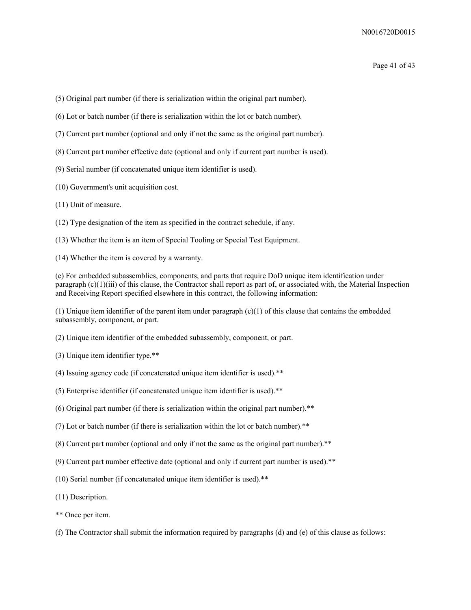Page 41 of 43

- (5) Original part number (if there is serialization within the original part number).
- (6) Lot or batch number (if there is serialization within the lot or batch number).
- (7) Current part number (optional and only if not the same as the original part number).
- (8) Current part number effective date (optional and only if current part number is used).
- (9) Serial number (if concatenated unique item identifier is used).
- (10) Government's unit acquisition cost.
- (11) Unit of measure.
- (12) Type designation of the item as specified in the contract schedule, if any.
- (13) Whether the item is an item of Special Tooling or Special Test Equipment.
- (14) Whether the item is covered by a warranty.

(e) For embedded subassemblies, components, and parts that require DoD unique item identification under paragraph (c)(1)(iii) of this clause, the Contractor shall report as part of, or associated with, the Material Inspection and Receiving Report specified elsewhere in this contract, the following information:

(1) Unique item identifier of the parent item under paragraph (c)(1) of this clause that contains the embedded subassembly, component, or part.

- (2) Unique item identifier of the embedded subassembly, component, or part.
- (3) Unique item identifier type.\*\*
- (4) Issuing agency code (if concatenated unique item identifier is used).\*\*
- (5) Enterprise identifier (if concatenated unique item identifier is used).\*\*
- (6) Original part number (if there is serialization within the original part number).\*\*
- (7) Lot or batch number (if there is serialization within the lot or batch number).\*\*
- (8) Current part number (optional and only if not the same as the original part number).\*\*
- (9) Current part number effective date (optional and only if current part number is used).\*\*
- (10) Serial number (if concatenated unique item identifier is used).\*\*
- (11) Description.
- \*\* Once per item.
- (f) The Contractor shall submit the information required by paragraphs (d) and (e) of this clause as follows: